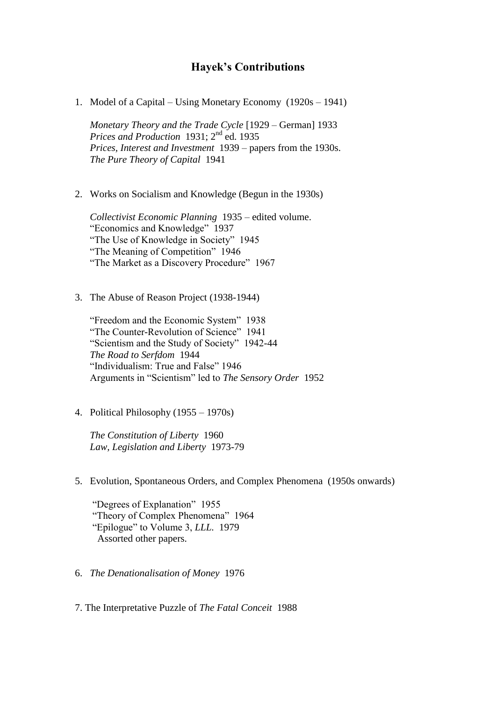## **Hayek's Contributions**

1. Model of a Capital – Using Monetary Economy (1920s – 1941)

*Monetary Theory and the Trade Cycle* [1929 – German] 1933 *Prices and Production* 1931; 2nd ed. 1935 *Prices, Interest and Investment* 1939 – papers from the 1930s. *The Pure Theory of Capital* 1941

2. Works on Socialism and Knowledge (Begun in the 1930s)

*Collectivist Economic Planning* 1935 – edited volume. "Economics and Knowledge"1937 "The Use of Knowledge in Society" 1945 "The Meaning of Competition" 1946 "The Market as a Discovery Procedure" 1967

3. The Abuse of Reason Project (1938-1944)

"Freedom and the Economic System" 1938 "The Counter-Revolution of Science" 1941 "Scientism and the Study of Society" 1942-44 *The Road to Serfdom* 1944 "Individualism: True and False" 1946 Arguments in "Scientism" led to *The Sensory Order* 1952

4. Political Philosophy (1955 – 1970s)

*The Constitution of Liberty* 1960 *Law, Legislation and Liberty* 1973-79

5. Evolution, Spontaneous Orders, and Complex Phenomena (1950s onwards)

"Degrees of Explanation" 1955 "Theory of Complex Phenomena" 1964 "Epilogue" to Volume 3, *LLL.* 1979 Assorted other papers.

- 6. *The Denationalisation of Money* 1976
- 7. The Interpretative Puzzle of *The Fatal Conceit* 1988